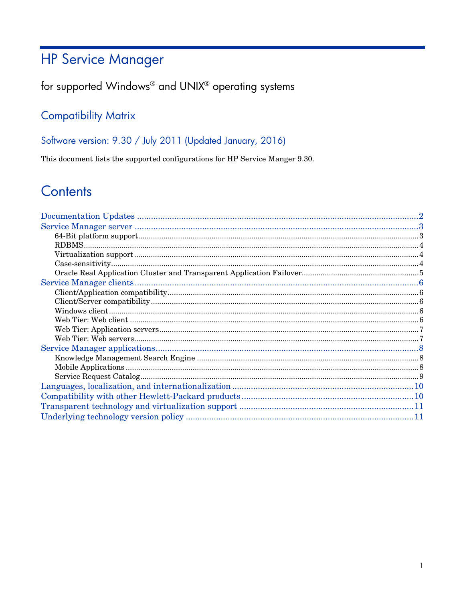# **HP Service Manager**

## for supported Windows® and UNIX® operating systems

## **Compatibility Matrix**

Software version: 9.30 / July 2011 (Updated January, 2016)

This document lists the supported configurations for HP Service Manger 9.30.

# Contents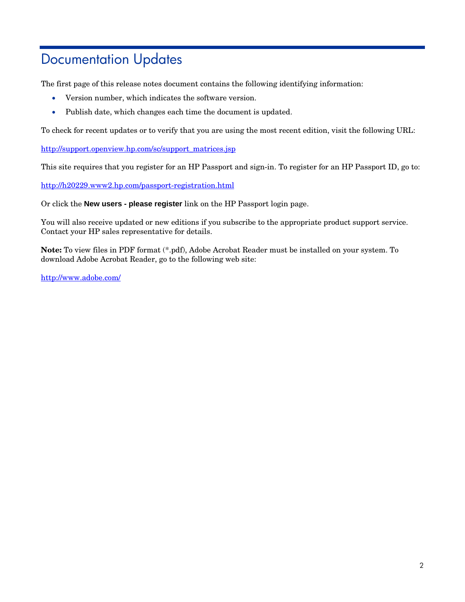# <span id="page-1-0"></span>Documentation Updates

The first page of this release notes document contains the following identifying information:

- Version number, which indicates the software version.
- Publish date, which changes each time the document is updated.

To check for recent updates or to verify that you are using the most recent edition, visit the following URL:

[http://support.openview.hp.com/sc/support\\_matrices.jsp](http://support.openview.hp.com/sc/support_matrices.jsp)

This site requires that you register for an HP Passport and sign-in. To register for an HP Passport ID, go to:

<http://h20229.www2.hp.com/passport-registration.html>

Or click the **New users - please register** link on the HP Passport login page.

You will also receive updated or new editions if you subscribe to the appropriate product support service. Contact your HP sales representative for details.

**Note:** To view files in PDF format (\*.pdf), Adobe Acrobat Reader must be installed on your system. To download Adobe Acrobat Reader, go to the following web site:

<http://www.adobe.com/>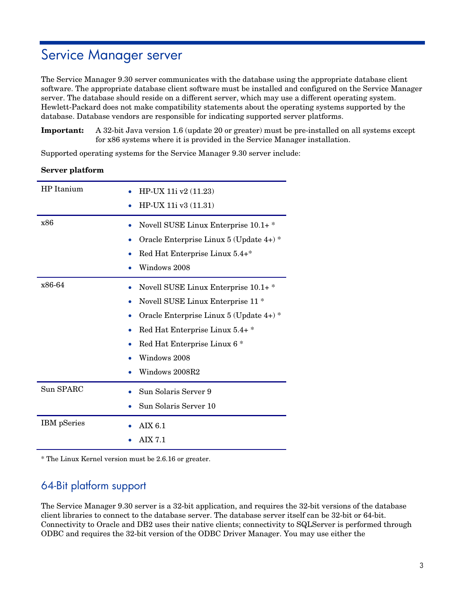# <span id="page-2-0"></span>Service Manager server

The Service Manager 9.30 server communicates with the database using the appropriate database client software. The appropriate database client software must be installed and configured on the Service Manager server. The database should reside on a different server, which may use a different operating system. Hewlett-Packard does not make compatibility statements about the operating systems supported by the database. Database vendors are responsible for indicating supported server platforms.

**Important:** A 32-bit Java version 1.6 (update 20 or greater) must be pre-installed on all systems except for x86 systems where it is provided in the Service Manager installation.

Supported operating systems for the Service Manager 9.30 server include:

#### **Server platform**

| HP Itanium         | HP-UX 11i v2 (11.23)<br>HP-UX 11i v3 (11.31)                                                                                                                                                                                       |
|--------------------|------------------------------------------------------------------------------------------------------------------------------------------------------------------------------------------------------------------------------------|
| x86                | Novell SUSE Linux Enterprise 10.1+*<br>Oracle Enterprise Linux 5 (Update 4+) *<br>Red Hat Enterprise Linux 5.4+*<br>Windows 2008                                                                                                   |
| x86-64             | Novell SUSE Linux Enterprise 10.1+*<br>Novell SUSE Linux Enterprise 11 <sup>*</sup><br>Oracle Enterprise Linux 5 (Update 4+) *<br>Red Hat Enterprise Linux 5.4+*<br>Red Hat Enterprise Linux 6 *<br>Windows 2008<br>Windows 2008R2 |
| Sun SPARC          | Sun Solaris Server 9<br>Sun Solaris Server 10                                                                                                                                                                                      |
| <b>IBM</b> pSeries | <b>AIX 6.1</b><br><b>AIX 7.1</b>                                                                                                                                                                                                   |

<span id="page-2-1"></span>\* The Linux Kernel version must be 2.6.16 or greater.

### 64-Bit platform support

The Service Manager 9.30 server is a 32-bit application, and requires the 32-bit versions of the database client libraries to connect to the database server. The database server itself can be 32-bit or 64-bit. Connectivity to Oracle and DB2 uses their native clients; connectivity to SQLServer is performed through ODBC and requires the 32-bit version of the ODBC Driver Manager. You may use either the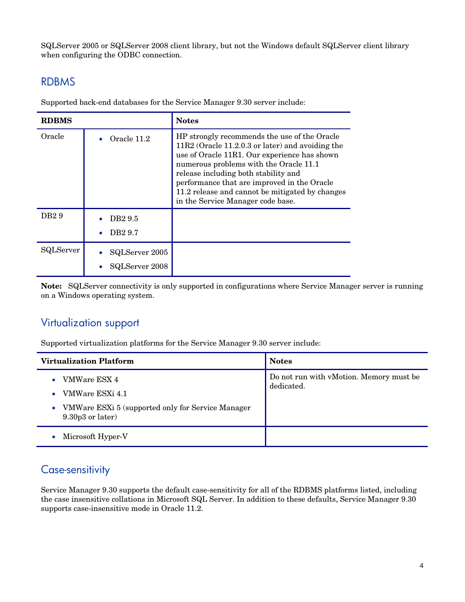SQLServer 2005 or SQLServer 2008 client library, but not the Windows default SQLServer client library when configuring the ODBC connection.

### <span id="page-3-0"></span>RDBMS

| <b>RDBMS</b>     |                                           | <b>Notes</b>                                                                                                                                                                                                                                                                                                                                                                |
|------------------|-------------------------------------------|-----------------------------------------------------------------------------------------------------------------------------------------------------------------------------------------------------------------------------------------------------------------------------------------------------------------------------------------------------------------------------|
| Oracle           | Oracle 11.2                               | HP strongly recommends the use of the Oracle<br>$11R2$ (Oracle 11.2.0.3 or later) and avoiding the<br>use of Oracle 11R1. Our experience has shown<br>numerous problems with the Oracle 11.1<br>release including both stability and<br>performance that are improved in the Oracle<br>11.2 release and cannot be mitigated by changes<br>in the Service Manager code base. |
| DB <sub>29</sub> | DB <sub>29.5</sub><br>DB <sub>2</sub> 9.7 |                                                                                                                                                                                                                                                                                                                                                                             |
| SQLServer        | SQLServer 2005<br>SQLServer 2008          |                                                                                                                                                                                                                                                                                                                                                                             |

Supported back-end databases for the Service Manager 9.30 server include:

**Note:** SQLServer connectivity is only supported in configurations where Service Manager server is running on a Windows operating system.

#### <span id="page-3-1"></span>Virtualization support

Supported virtualization platforms for the Service Manager 9.30 server include:

| <b>Virtualization Platform</b>                                                       | <b>Notes</b>                                          |
|--------------------------------------------------------------------------------------|-------------------------------------------------------|
| VMWare ESX 4<br>$\bullet$<br>VMWare ESXi 4.1<br>۰                                    | Do not run with vMotion. Memory must be<br>dedicated. |
| VMWare ESXi 5 (supported only for Service Manager<br>$\bullet$<br>$9.30p3$ or later) |                                                       |
| Microsoft Hyper-V<br>$\bullet$                                                       |                                                       |

### <span id="page-3-2"></span>Case-sensitivity

Service Manager 9.30 supports the default case-sensitivity for all of the RDBMS platforms listed, including the case insensitive collations in Microsoft SQL Server. In addition to these defaults, Service Manager 9.30 supports case-insensitive mode in Oracle 11.2.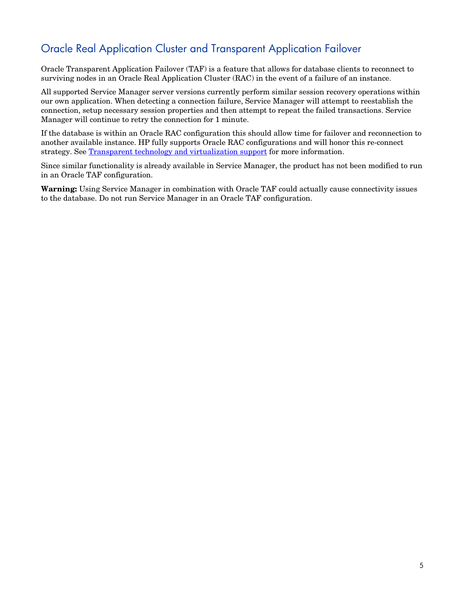## <span id="page-4-0"></span>Oracle Real Application Cluster and Transparent Application Failover

Oracle Transparent Application Failover (TAF) is a feature that allows for database clients to reconnect to surviving nodes in an Oracle Real Application Cluster (RAC) in the event of a failure of an instance.

All supported Service Manager server versions currently perform similar session recovery operations within our own application. When detecting a connection failure, Service Manager will attempt to reestablish the connection, setup necessary session properties and then attempt to repeat the failed transactions. Service Manager will continue to retry the connection for 1 minute.

If the database is within an Oracle RAC configuration this should allow time for failover and reconnection to another available instance. HP fully supports Oracle RAC configurations and will honor this re-connect strategy. See [Transparent technology and virtualization support](#page-10-0) for more information.

Since similar functionality is already available in Service Manager, the product has not been modified to run in an Oracle TAF configuration.

**Warning:** Using Service Manager in combination with Oracle TAF could actually cause connectivity issues to the database. Do not run Service Manager in an Oracle TAF configuration.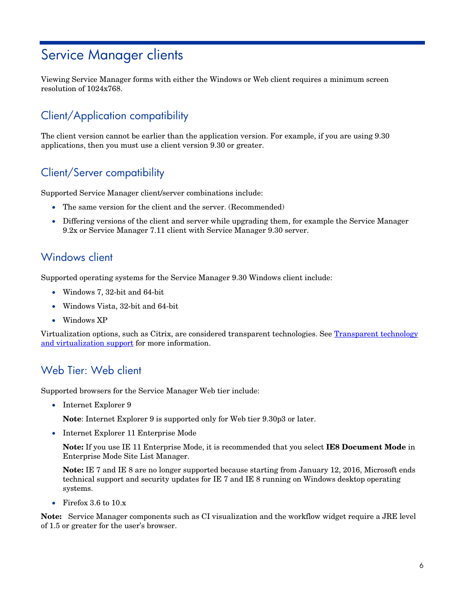# <span id="page-5-0"></span>Service Manager clients

Viewing Service Manager forms with either the Windows or Web client requires a minimum screen resolution of 1024x768.

## <span id="page-5-1"></span>Client/Application compatibility

The client version cannot be earlier than the application version. For example, if you are using 9.30 applications, then you must use a client version 9.30 or greater.

## <span id="page-5-2"></span>Client/Server compatibility

Supported Service Manager client/server combinations include:

- The same version for the client and the server. (Recommended)
- Differing versions of the client and server while upgrading them, for example the Service Manager 9.2x or Service Manager 7.11 client with Service Manager 9.30 server.

#### <span id="page-5-3"></span>Windows client

Supported operating systems for the Service Manager 9.30 Windows client include:

- Windows 7, 32-bit and 64-bit
- Windows Vista, 32-bit and 64-bit
- Windows XP

Virtualization options, such as Citrix, are considered transparent technologies. See Transparent technology [and virtualization support](#page-10-0) for more information.

### <span id="page-5-4"></span>Web Tier: Web client

Supported browsers for the Service Manager Web tier include:

• Internet Explorer 9

**Note**: Internet Explorer 9 is supported only for Web tier 9.30p3 or later.

• Internet Explorer 11 Enterprise Mode

**Note:** If you use IE 11 Enterprise Mode, it is recommended that you select **IE8 Document Mode** in Enterprise Mode Site List Manager.

**Note:** IE 7 and IE 8 are no longer supported because starting from January 12, 2016, Microsoft ends technical support and security updates for IE 7 and IE 8 running on Windows desktop operating systems.

• Firefox 3.6 to 10.x

**Note:** Service Manager components such as CI visualization and the workflow widget require a JRE level of 1.5 or greater for the user's browser.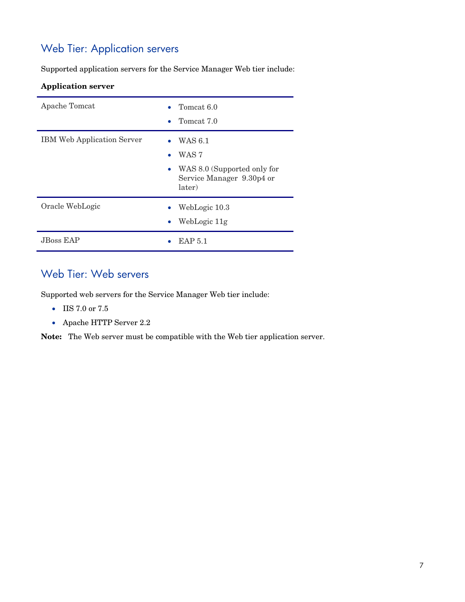## <span id="page-6-0"></span>Web Tier: Application servers

Supported application servers for the Service Manager Web tier include:

#### **Application server**

| Apache Tomcat                     | Tomcat 6.0<br>Tomcat 7.0                                                                            |
|-----------------------------------|-----------------------------------------------------------------------------------------------------|
| <b>IBM Web Application Server</b> | WAS 6.1<br>WAS <sub>7</sub><br>• WAS 8.0 (Supported only for<br>Service Manager 9.30p4 or<br>later) |
| Oracle WebLogic                   | WebLogic 10.3<br>WebLogic 11g                                                                       |
| <b>JBoss EAP</b>                  | <b>EAP 5.1</b>                                                                                      |

## <span id="page-6-1"></span>Web Tier: Web servers

Supported web servers for the Service Manager Web tier include:

- IIS 7.0 or 7.5
- Apache HTTP Server 2.2

**Note:** The Web server must be compatible with the Web tier application server.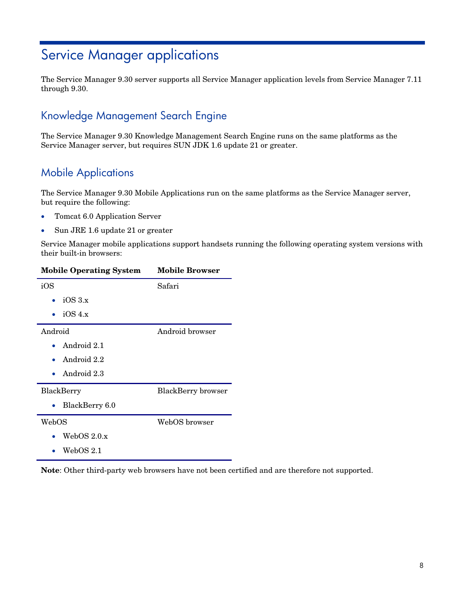# <span id="page-7-0"></span>Service Manager applications

The Service Manager 9.30 server supports all Service Manager application levels from Service Manager 7.11 through 9.30.

### <span id="page-7-1"></span>Knowledge Management Search Engine

The Service Manager 9.30 Knowledge Management Search Engine runs on the same platforms as the Service Manager server, but requires SUN JDK 1.6 update 21 or greater.

## <span id="page-7-2"></span>Mobile Applications

The Service Manager 9.30 Mobile Applications run on the same platforms as the Service Manager server, but require the following:

- Tomcat 6.0 Application Server
- Sun JRE 1.6 update 21 or greater

Service Manager mobile applications support handsets running the following operating system versions with their built-in browsers:

| <b>Mobile Operating System</b> | <b>Mobile Browser</b>     |
|--------------------------------|---------------------------|
| iOS                            | Safari                    |
| iOS 3.x                        |                           |
| iOS 4.x                        |                           |
| Android                        | Android browser           |
| Android 2.1                    |                           |
| • Android $2.2$                |                           |
| Android 2.3                    |                           |
| BlackBerry                     | <b>BlackBerry</b> browser |
| BlackBerry 6.0                 |                           |
| WebOS                          | WebOS browser             |
| WebOS $2.0.x$                  |                           |
| WebOS 2.1                      |                           |

**Note**: Other third-party web browsers have not been certified and are therefore not supported.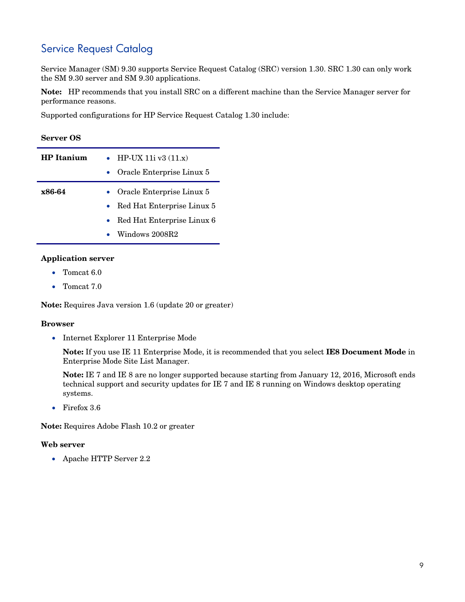## <span id="page-8-0"></span>Service Request Catalog

Service Manager (SM) 9.30 supports Service Request Catalog (SRC) version 1.30. SRC 1.30 can only work the SM 9.30 server and SM 9.30 applications.

**Note:** HP recommends that you install SRC on a different machine than the Service Manager server for performance reasons.

Supported configurations for HP Service Request Catalog 1.30 include:

| <b>Server OS</b> |  |
|------------------|--|
|------------------|--|

| <b>HP</b> Itanium | • HP-UX 11i v3 $(11.x)$<br>• Oracle Enterprise Linux 5 |
|-------------------|--------------------------------------------------------|
| x86-64            | • Oracle Enterprise Linux 5                            |
|                   | • Red Hat Enterprise Linux 5                           |
|                   | • Red Hat Enterprise Linux 6                           |
|                   | Windows 2008R2                                         |

#### **Application server**

- Tomcat 6.0
- Tomcat 7.0

**Note:** Requires Java version 1.6 (update 20 or greater)

#### **Browser**

• Internet Explorer 11 Enterprise Mode

**Note:** If you use IE 11 Enterprise Mode, it is recommended that you select **IE8 Document Mode** in Enterprise Mode Site List Manager.

**Note:** IE 7 and IE 8 are no longer supported because starting from January 12, 2016, Microsoft ends technical support and security updates for IE 7 and IE 8 running on Windows desktop operating systems.

• Firefox 3.6

**Note:** Requires Adobe Flash 10.2 or greater

#### **Web server**

• Apache HTTP Server 2.2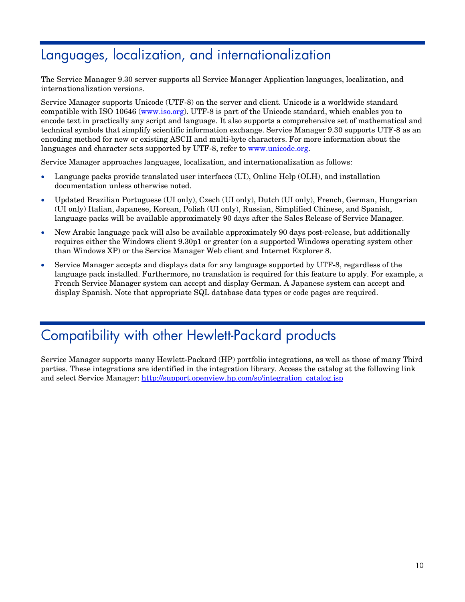# <span id="page-9-0"></span>Languages, localization, and internationalization

The Service Manager 9.30 server supports all Service Manager Application languages, localization, and internationalization versions.

Service Manager supports Unicode (UTF-8) on the server and client. Unicode is a worldwide standard compatible with ISO 10646 [\(www.iso.org\)](http://www.iso.org/). UTF-8 is part of the Unicode standard, which enables you to encode text in practically any script and language. It also supports a comprehensive set of mathematical and technical symbols that simplify scientific information exchange. Service Manager 9.30 supports UTF-8 as an encoding method for new or existing ASCII and multi-byte characters. For more information about the languages and character sets supported by UTF-8, refer to [www.unicode.org.](http://www.unicode.org/)

Service Manager approaches languages, localization, and internationalization as follows:

- Language packs provide translated user interfaces (UI), Online Help (OLH), and installation documentation unless otherwise noted.
- Updated Brazilian Portuguese (UI only), Czech (UI only), Dutch (UI only), French, German, Hungarian (UI only) Italian, Japanese, Korean, Polish (UI only), Russian, Simplified Chinese, and Spanish, language packs will be available approximately 90 days after the Sales Release of Service Manager.
- New Arabic language pack will also be available approximately 90 days post-release, but additionally requires either the Windows client 9.30p1 or greater (on a supported Windows operating system other than Windows XP) or the Service Manager Web client and Internet Explorer 8.
- Service Manager accepts and displays data for any language supported by UTF-8, regardless of the language pack installed. Furthermore, no translation is required for this feature to apply. For example, a French Service Manager system can accept and display German. A Japanese system can accept and display Spanish. Note that appropriate SQL database data types or code pages are required.

# <span id="page-9-1"></span>Compatibility with other Hewlett-Packard products

Service Manager supports many Hewlett-Packard (HP) portfolio integrations, as well as those of many Third parties. These integrations are identified in the integration library. Access the catalog at the following link and select Service Manager: [http://support.openview.hp.com/sc/integration\\_catalog.jsp](http://support.openview.hp.com/sc/integration_catalog.jsp)